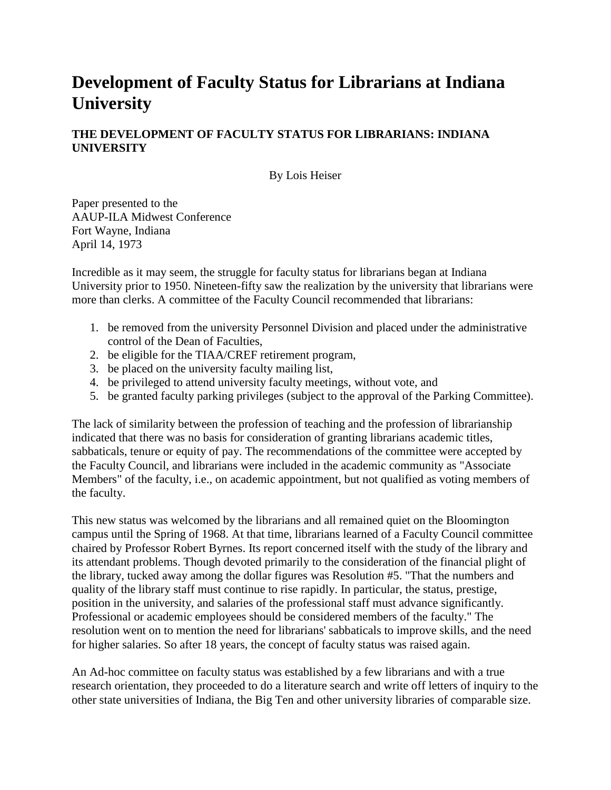## **Development of Faculty Status for Librarians at Indiana University**

## **THE DEVELOPMENT OF FACULTY STATUS FOR LIBRARIANS: INDIANA UNIVERSITY**

By Lois Heiser

Paper presented to the AAUP-ILA Midwest Conference Fort Wayne, Indiana April 14, 1973

Incredible as it may seem, the struggle for faculty status for librarians began at Indiana University prior to 1950. Nineteen-fifty saw the realization by the university that librarians were more than clerks. A committee of the Faculty Council recommended that librarians:

- 1. be removed from the university Personnel Division and placed under the administrative control of the Dean of Faculties,
- 2. be eligible for the TIAA/CREF retirement program,
- 3. be placed on the university faculty mailing list,
- 4. be privileged to attend university faculty meetings, without vote, and
- 5. be granted faculty parking privileges (subject to the approval of the Parking Committee).

The lack of similarity between the profession of teaching and the profession of librarianship indicated that there was no basis for consideration of granting librarians academic titles, sabbaticals, tenure or equity of pay. The recommendations of the committee were accepted by the Faculty Council, and librarians were included in the academic community as "Associate Members" of the faculty, i.e., on academic appointment, but not qualified as voting members of the faculty.

This new status was welcomed by the librarians and all remained quiet on the Bloomington campus until the Spring of 1968. At that time, librarians learned of a Faculty Council committee chaired by Professor Robert Byrnes. Its report concerned itself with the study of the library and its attendant problems. Though devoted primarily to the consideration of the financial plight of the library, tucked away among the dollar figures was Resolution #5. "That the numbers and quality of the library staff must continue to rise rapidly. In particular, the status, prestige, position in the university, and salaries of the professional staff must advance significantly. Professional or academic employees should be considered members of the faculty." The resolution went on to mention the need for librarians' sabbaticals to improve skills, and the need for higher salaries. So after 18 years, the concept of faculty status was raised again.

An Ad-hoc committee on faculty status was established by a few librarians and with a true research orientation, they proceeded to do a literature search and write off letters of inquiry to the other state universities of Indiana, the Big Ten and other university libraries of comparable size.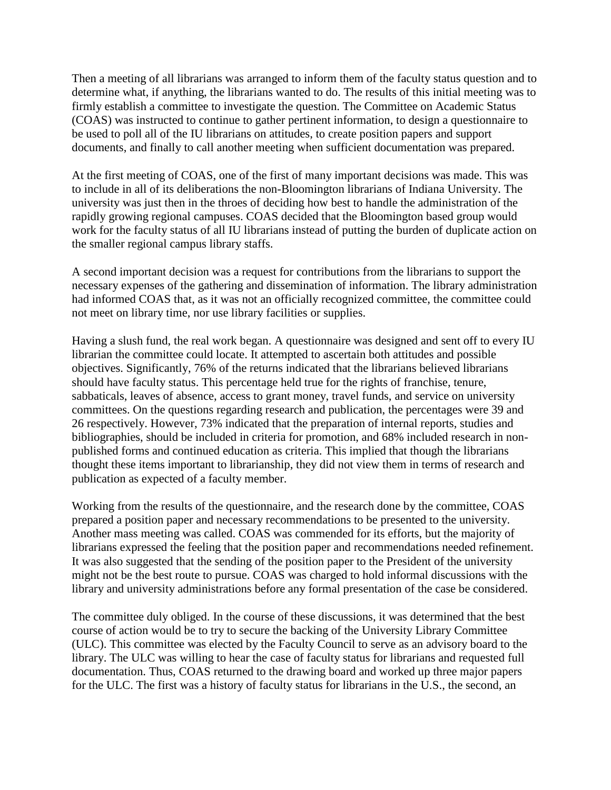Then a meeting of all librarians was arranged to inform them of the faculty status question and to determine what, if anything, the librarians wanted to do. The results of this initial meeting was to firmly establish a committee to investigate the question. The Committee on Academic Status (COAS) was instructed to continue to gather pertinent information, to design a questionnaire to be used to poll all of the IU librarians on attitudes, to create position papers and support documents, and finally to call another meeting when sufficient documentation was prepared.

At the first meeting of COAS, one of the first of many important decisions was made. This was to include in all of its deliberations the non-Bloomington librarians of Indiana University. The university was just then in the throes of deciding how best to handle the administration of the rapidly growing regional campuses. COAS decided that the Bloomington based group would work for the faculty status of all IU librarians instead of putting the burden of duplicate action on the smaller regional campus library staffs.

A second important decision was a request for contributions from the librarians to support the necessary expenses of the gathering and dissemination of information. The library administration had informed COAS that, as it was not an officially recognized committee, the committee could not meet on library time, nor use library facilities or supplies.

Having a slush fund, the real work began. A questionnaire was designed and sent off to every IU librarian the committee could locate. It attempted to ascertain both attitudes and possible objectives. Significantly, 76% of the returns indicated that the librarians believed librarians should have faculty status. This percentage held true for the rights of franchise, tenure, sabbaticals, leaves of absence, access to grant money, travel funds, and service on university committees. On the questions regarding research and publication, the percentages were 39 and 26 respectively. However, 73% indicated that the preparation of internal reports, studies and bibliographies, should be included in criteria for promotion, and 68% included research in nonpublished forms and continued education as criteria. This implied that though the librarians thought these items important to librarianship, they did not view them in terms of research and publication as expected of a faculty member.

Working from the results of the questionnaire, and the research done by the committee, COAS prepared a position paper and necessary recommendations to be presented to the university. Another mass meeting was called. COAS was commended for its efforts, but the majority of librarians expressed the feeling that the position paper and recommendations needed refinement. It was also suggested that the sending of the position paper to the President of the university might not be the best route to pursue. COAS was charged to hold informal discussions with the library and university administrations before any formal presentation of the case be considered.

The committee duly obliged. In the course of these discussions, it was determined that the best course of action would be to try to secure the backing of the University Library Committee (ULC). This committee was elected by the Faculty Council to serve as an advisory board to the library. The ULC was willing to hear the case of faculty status for librarians and requested full documentation. Thus, COAS returned to the drawing board and worked up three major papers for the ULC. The first was a history of faculty status for librarians in the U.S., the second, an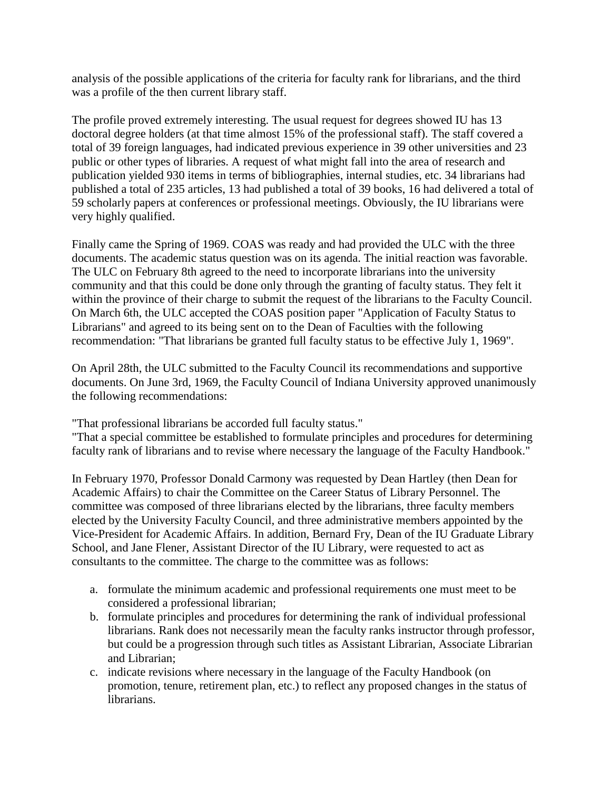analysis of the possible applications of the criteria for faculty rank for librarians, and the third was a profile of the then current library staff.

The profile proved extremely interesting. The usual request for degrees showed IU has 13 doctoral degree holders (at that time almost 15% of the professional staff). The staff covered a total of 39 foreign languages, had indicated previous experience in 39 other universities and 23 public or other types of libraries. A request of what might fall into the area of research and publication yielded 930 items in terms of bibliographies, internal studies, etc. 34 librarians had published a total of 235 articles, 13 had published a total of 39 books, 16 had delivered a total of 59 scholarly papers at conferences or professional meetings. Obviously, the IU librarians were very highly qualified.

Finally came the Spring of 1969. COAS was ready and had provided the ULC with the three documents. The academic status question was on its agenda. The initial reaction was favorable. The ULC on February 8th agreed to the need to incorporate librarians into the university community and that this could be done only through the granting of faculty status. They felt it within the province of their charge to submit the request of the librarians to the Faculty Council. On March 6th, the ULC accepted the COAS position paper "Application of Faculty Status to Librarians" and agreed to its being sent on to the Dean of Faculties with the following recommendation: "That librarians be granted full faculty status to be effective July 1, 1969".

On April 28th, the ULC submitted to the Faculty Council its recommendations and supportive documents. On June 3rd, 1969, the Faculty Council of Indiana University approved unanimously the following recommendations:

"That professional librarians be accorded full faculty status."

"That a special committee be established to formulate principles and procedures for determining faculty rank of librarians and to revise where necessary the language of the Faculty Handbook."

In February 1970, Professor Donald Carmony was requested by Dean Hartley (then Dean for Academic Affairs) to chair the Committee on the Career Status of Library Personnel. The committee was composed of three librarians elected by the librarians, three faculty members elected by the University Faculty Council, and three administrative members appointed by the Vice-President for Academic Affairs. In addition, Bernard Fry, Dean of the IU Graduate Library School, and Jane Flener, Assistant Director of the IU Library, were requested to act as consultants to the committee. The charge to the committee was as follows:

- a. formulate the minimum academic and professional requirements one must meet to be considered a professional librarian;
- b. formulate principles and procedures for determining the rank of individual professional librarians. Rank does not necessarily mean the faculty ranks instructor through professor, but could be a progression through such titles as Assistant Librarian, Associate Librarian and Librarian;
- c. indicate revisions where necessary in the language of the Faculty Handbook (on promotion, tenure, retirement plan, etc.) to reflect any proposed changes in the status of librarians.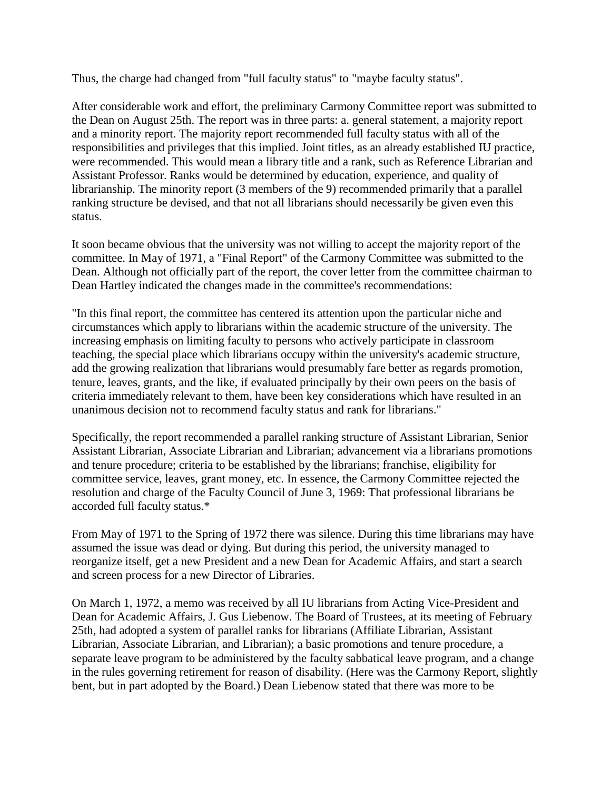Thus, the charge had changed from "full faculty status" to "maybe faculty status".

After considerable work and effort, the preliminary Carmony Committee report was submitted to the Dean on August 25th. The report was in three parts: a. general statement, a majority report and a minority report. The majority report recommended full faculty status with all of the responsibilities and privileges that this implied. Joint titles, as an already established IU practice, were recommended. This would mean a library title and a rank, such as Reference Librarian and Assistant Professor. Ranks would be determined by education, experience, and quality of librarianship. The minority report (3 members of the 9) recommended primarily that a parallel ranking structure be devised, and that not all librarians should necessarily be given even this status.

It soon became obvious that the university was not willing to accept the majority report of the committee. In May of 1971, a "Final Report" of the Carmony Committee was submitted to the Dean. Although not officially part of the report, the cover letter from the committee chairman to Dean Hartley indicated the changes made in the committee's recommendations:

"In this final report, the committee has centered its attention upon the particular niche and circumstances which apply to librarians within the academic structure of the university. The increasing emphasis on limiting faculty to persons who actively participate in classroom teaching, the special place which librarians occupy within the university's academic structure, add the growing realization that librarians would presumably fare better as regards promotion, tenure, leaves, grants, and the like, if evaluated principally by their own peers on the basis of criteria immediately relevant to them, have been key considerations which have resulted in an unanimous decision not to recommend faculty status and rank for librarians."

Specifically, the report recommended a parallel ranking structure of Assistant Librarian, Senior Assistant Librarian, Associate Librarian and Librarian; advancement via a librarians promotions and tenure procedure; criteria to be established by the librarians; franchise, eligibility for committee service, leaves, grant money, etc. In essence, the Carmony Committee rejected the resolution and charge of the Faculty Council of June 3, 1969: That professional librarians be accorded full faculty status.\*

From May of 1971 to the Spring of 1972 there was silence. During this time librarians may have assumed the issue was dead or dying. But during this period, the university managed to reorganize itself, get a new President and a new Dean for Academic Affairs, and start a search and screen process for a new Director of Libraries.

On March 1, 1972, a memo was received by all IU librarians from Acting Vice-President and Dean for Academic Affairs, J. Gus Liebenow. The Board of Trustees, at its meeting of February 25th, had adopted a system of parallel ranks for librarians (Affiliate Librarian, Assistant Librarian, Associate Librarian, and Librarian); a basic promotions and tenure procedure, a separate leave program to be administered by the faculty sabbatical leave program, and a change in the rules governing retirement for reason of disability. (Here was the Carmony Report, slightly bent, but in part adopted by the Board.) Dean Liebenow stated that there was more to be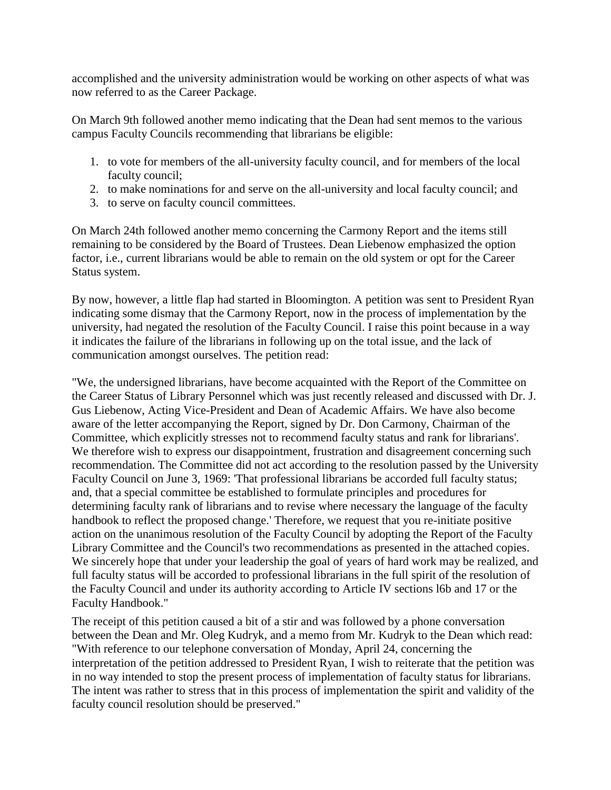accomplished and the university administration would be working on other aspects of what was now referred to as the Career Package.

On March 9th followed another memo indicating that the Dean had sent memos to the various campus Faculty Councils recommending that librarians be eligible:

- 1. to vote for members of the all-university faculty council, and for members of the local faculty council;
- 2. to make nominations for and serve on the all-university and local faculty council; and
- 3. to serve on faculty council committees.

On March 24th followed another memo concerning the Carmony Report and the items still remaining to be considered by the Board of Trustees. Dean Liebenow emphasized the option factor, i.e., current librarians would be able to remain on the old system or opt for the Career Status system.

By now, however, a little flap had started in Bloomington. A petition was sent to President Ryan indicating some dismay that the Carmony Report, now in the process of implementation by the university, had negated the resolution of the Faculty Council. I raise this point because in a way it indicates the failure of the librarians in following up on the total issue, and the lack of communication amongst ourselves. The petition read:

"We, the undersigned librarians, have become acquainted with the Report of the Committee on the Career Status of Library Personnel which was just recently released and discussed with Dr. J. Gus Liebenow, Acting Vice-President and Dean of Academic Affairs. We have also become aware of the letter accompanying the Report, signed by Dr. Don Carmony, Chairman of the Committee, which explicitly stresses not to recommend faculty status and rank for librarians'. We therefore wish to express our disappointment, frustration and disagreement concerning such recommendation. The Committee did not act according to the resolution passed by the University Faculty Council on June 3, 1969: 'That professional librarians be accorded full faculty status; and, that a special committee be established to formulate principles and procedures for determining faculty rank of librarians and to revise where necessary the language of the faculty handbook to reflect the proposed change.' Therefore, we request that you re-initiate positive action on the unanimous resolution of the Faculty Council by adopting the Report of the Faculty Library Committee and the Council's two recommendations as presented in the attached copies. We sincerely hope that under your leadership the goal of years of hard work may be realized, and full faculty status will be accorded to professional librarians in the full spirit of the resolution of the Faculty Council and under its authority according to Article IV sections l6b and 17 or the Faculty Handbook."

The receipt of this petition caused a bit of a stir and was followed by a phone conversation between the Dean and Mr. Oleg Kudryk, and a memo from Mr. Kudryk to the Dean which read: "With reference to our telephone conversation of Monday, April 24, concerning the interpretation of the petition addressed to President Ryan, I wish to reiterate that the petition was in no way intended to stop the present process of implementation of faculty status for librarians. The intent was rather to stress that in this process of implementation the spirit and validity of the faculty council resolution should be preserved."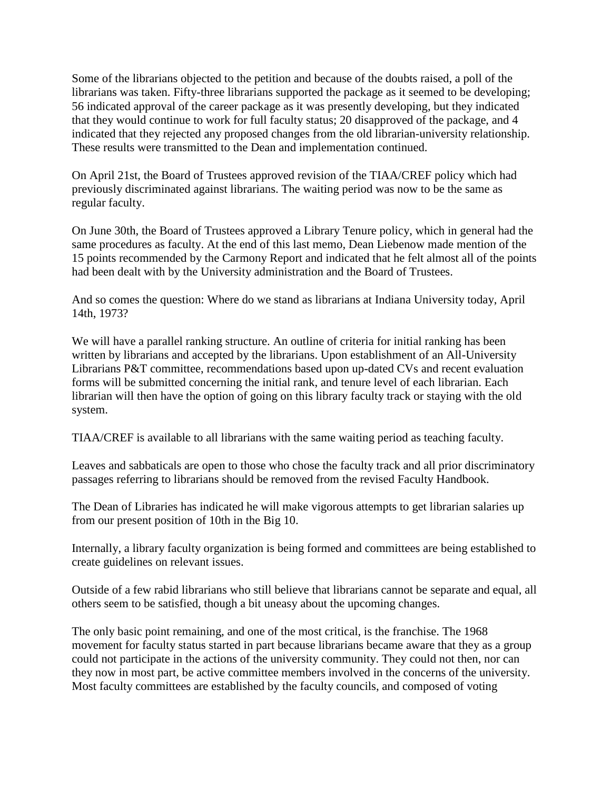Some of the librarians objected to the petition and because of the doubts raised, a poll of the librarians was taken. Fifty-three librarians supported the package as it seemed to be developing; 56 indicated approval of the career package as it was presently developing, but they indicated that they would continue to work for full faculty status; 20 disapproved of the package, and 4 indicated that they rejected any proposed changes from the old librarian-university relationship. These results were transmitted to the Dean and implementation continued.

On April 21st, the Board of Trustees approved revision of the TIAA/CREF policy which had previously discriminated against librarians. The waiting period was now to be the same as regular faculty.

On June 30th, the Board of Trustees approved a Library Tenure policy, which in general had the same procedures as faculty. At the end of this last memo, Dean Liebenow made mention of the 15 points recommended by the Carmony Report and indicated that he felt almost all of the points had been dealt with by the University administration and the Board of Trustees.

And so comes the question: Where do we stand as librarians at Indiana University today, April 14th, 1973?

We will have a parallel ranking structure. An outline of criteria for initial ranking has been written by librarians and accepted by the librarians. Upon establishment of an All-University Librarians P&T committee, recommendations based upon up-dated CVs and recent evaluation forms will be submitted concerning the initial rank, and tenure level of each librarian. Each librarian will then have the option of going on this library faculty track or staying with the old system.

TIAA/CREF is available to all librarians with the same waiting period as teaching faculty.

Leaves and sabbaticals are open to those who chose the faculty track and all prior discriminatory passages referring to librarians should be removed from the revised Faculty Handbook.

The Dean of Libraries has indicated he will make vigorous attempts to get librarian salaries up from our present position of 10th in the Big 10.

Internally, a library faculty organization is being formed and committees are being established to create guidelines on relevant issues.

Outside of a few rabid librarians who still believe that librarians cannot be separate and equal, all others seem to be satisfied, though a bit uneasy about the upcoming changes.

The only basic point remaining, and one of the most critical, is the franchise. The 1968 movement for faculty status started in part because librarians became aware that they as a group could not participate in the actions of the university community. They could not then, nor can they now in most part, be active committee members involved in the concerns of the university. Most faculty committees are established by the faculty councils, and composed of voting